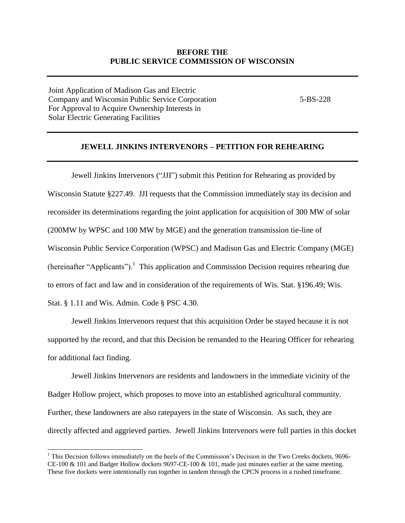### **BEFORE THE PUBLIC SERVICE COMMISSION OF WISCONSIN**

Joint Application of Madison Gas and Electric Company and Wisconsin Public Service Corporation 5-BS-228 For Approval to Acquire Ownership Interests in Solar Electric Generating Facilities

l

### **JEWELL JINKINS INTERVENORS – PETITION FOR REHEARING**

Jewell Jinkins Intervenors ("JJI") submit this Petition for Rehearing as provided by Wisconsin Statute §227.49. JJI requests that the Commission immediately stay its decision and reconsider its determinations regarding the joint application for acquisition of 300 MW of solar (200MW by WPSC and 100 MW by MGE) and the generation transmission tie-line of Wisconsin Public Service Corporation (WPSC) and Madison Gas and Electric Company (MGE) (hereinafter "Applicants").<sup>1</sup> This application and Commission Decision requires rehearing due to errors of fact and law and in consideration of the requirements of Wis. Stat. §196.49; Wis. Stat. § 1.11 and Wis. Admin. Code § PSC 4.30.

Jewell Jinkins Intervenors request that this acquisition Order be stayed because it is not supported by the record, and that this Decision be remanded to the Hearing Officer for rehearing for additional fact finding.

Jewell Jinkins Intervenors are residents and landowners in the immediate vicinity of the Badger Hollow project, which proposes to move into an established agricultural community. Further, these landowners are also ratepayers in the state of Wisconsin. As such, they are directly affected and aggrieved parties. Jewell Jinkins Intervenors were full parties in this docket

 $<sup>1</sup>$  This Decision follows immediately on the heels of the Commission's Decision in the Two Creeks dockets, 9696-</sup> CE-100 & 101 and Badger Hollow dockets 9697-CE-100 & 101, made just minutes earlier at the same meeting. These five dockets were intentionally run together in tandem through the CPCN process in a rushed timeframe.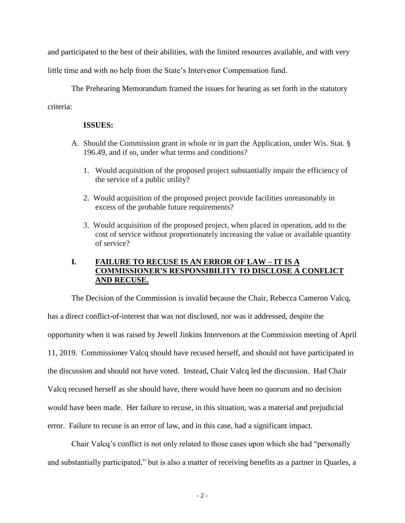and participated to the best of their abilities, with the limited resources available, and with very

little time and with no help from the State's Intervenor Compensation fund.

The Prehearing Memorandum framed the issues for hearing as set forth in the statutory criteria:

### **ISSUES:**

- A. Should the Commission grant in whole or in part the Application, under Wis. Stat. § 196.49, and if so, under what terms and conditions?
	- 1. Would acquisition of the proposed project substantially impair the efficiency of the service of a public utility?
	- 2. Would acquisition of the proposed project provide facilities unreasonably in excess of the probable future requirements?
	- 3. Would acquisition of the proposed project, when placed in operation, add to the cost of service without proportionately increasing the value or available quantity of service?

## **I. FAILURE TO RECUSE IS AN ERROR OF LAW – IT IS A COMMISSIONER'S RESPONSIBILITY TO DISCLOSE A CONFLICT AND RECUSE.**

The Decision of the Commission is invalid because the Chair, Rebecca Cameron Valcq, has a direct conflict-of-interest that was not disclosed, nor was it addressed, despite the opportunity when it was raised by Jewell Jinkins Intervenors at the Commission meeting of April 11, 2019. Commissioner Valcq should have recused herself, and should not have participated in the discussion and should not have voted. Instead, Chair Valcq led the discussion. Had Chair Valcq recused herself as she should have, there would have been no quorum and no decision would have been made. Her failure to recuse, in this situation, was a material and prejudicial error. Failure to recuse is an error of law, and in this case, had a significant impact.

Chair Valcq's conflict is not only related to those cases upon which she had "personally and substantially participated," but is also a matter of receiving benefits as a partner in Quarles, a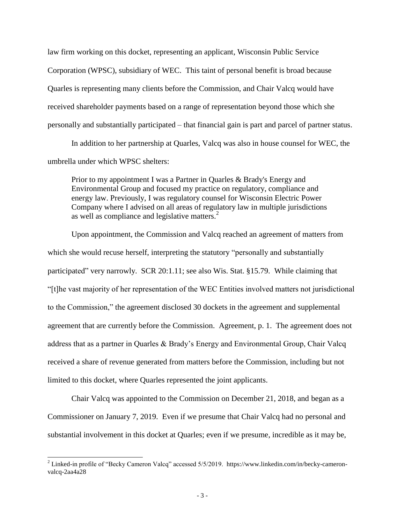law firm working on this docket, representing an applicant, Wisconsin Public Service Corporation (WPSC), subsidiary of WEC. This taint of personal benefit is broad because Quarles is representing many clients before the Commission, and Chair Valcq would have received shareholder payments based on a range of representation beyond those which she personally and substantially participated – that financial gain is part and parcel of partner status.

In addition to her partnership at Quarles, Valcq was also in house counsel for WEC, the umbrella under which WPSC shelters:

Prior to my appointment I was a Partner in Quarles & Brady's Energy and Environmental Group and focused my practice on regulatory, compliance and energy law. Previously, I was regulatory counsel for Wisconsin Electric Power Company where I advised on all areas of regulatory law in multiple jurisdictions as well as compliance and legislative matters.<sup>2</sup>

Upon appointment, the Commission and Valcq reached an agreement of matters from which she would recuse herself, interpreting the statutory "personally and substantially participated" very narrowly. SCR 20:1.11; see also Wis. Stat. §15.79. While claiming that "[t]he vast majority of her representation of the WEC Entities involved matters not jurisdictional to the Commission," the agreement disclosed 30 dockets in the agreement and supplemental agreement that are currently before the Commission. Agreement, p. 1. The agreement does not address that as a partner in Quarles & Brady's Energy and Environmental Group, Chair Valcq received a share of revenue generated from matters before the Commission, including but not limited to this docket, where Quarles represented the joint applicants.

Chair Valcq was appointed to the Commission on December 21, 2018, and began as a Commissioner on January 7, 2019. Even if we presume that Chair Valcq had no personal and substantial involvement in this docket at Quarles; even if we presume, incredible as it may be,

 $\overline{a}$ 

<sup>&</sup>lt;sup>2</sup> Linked-in profile of "Becky Cameron Valcq" accessed 5/5/2019. https://www.linkedin.com/in/becky-cameronvalcq-2aa4a28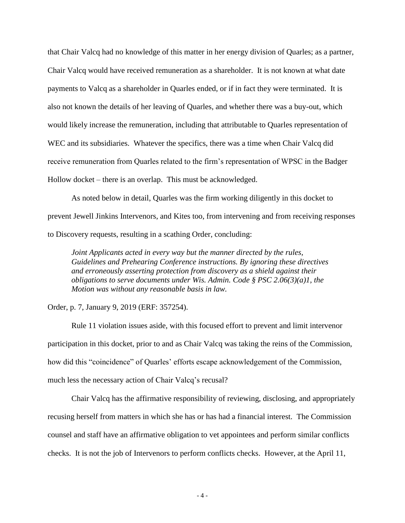that Chair Valcq had no knowledge of this matter in her energy division of Quarles; as a partner, Chair Valcq would have received remuneration as a shareholder. It is not known at what date payments to Valcq as a shareholder in Quarles ended, or if in fact they were terminated. It is also not known the details of her leaving of Quarles, and whether there was a buy-out, which would likely increase the remuneration, including that attributable to Quarles representation of WEC and its subsidiaries. Whatever the specifics, there was a time when Chair Valcq did receive remuneration from Quarles related to the firm's representation of WPSC in the Badger Hollow docket – there is an overlap. This must be acknowledged.

As noted below in detail, Quarles was the firm working diligently in this docket to prevent Jewell Jinkins Intervenors, and Kites too, from intervening and from receiving responses to Discovery requests, resulting in a scathing Order, concluding:

*Joint Applicants acted in every way but the manner directed by the rules, Guidelines and Prehearing Conference instructions. By ignoring these directives and erroneously asserting protection from discovery as a shield against their obligations to serve documents under Wis. Admin. Code § PSC 2.06(3)(a)1, the Motion was without any reasonable basis in law.*

Order, p. 7, January 9, 2019 (ERF: 357254).

Rule 11 violation issues aside, with this focused effort to prevent and limit intervenor participation in this docket, prior to and as Chair Valcq was taking the reins of the Commission, how did this "coincidence" of Quarles' efforts escape acknowledgement of the Commission, much less the necessary action of Chair Valcq's recusal?

Chair Valcq has the affirmative responsibility of reviewing, disclosing, and appropriately recusing herself from matters in which she has or has had a financial interest. The Commission counsel and staff have an affirmative obligation to vet appointees and perform similar conflicts checks. It is not the job of Intervenors to perform conflicts checks. However, at the April 11,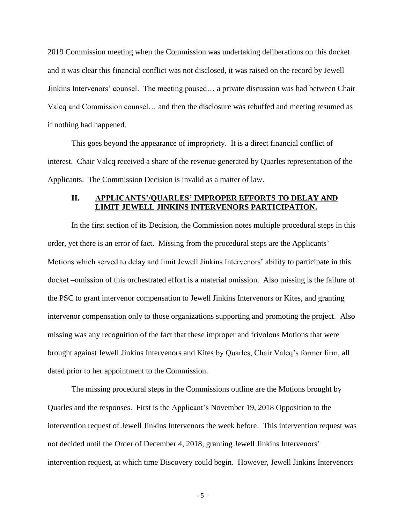2019 Commission meeting when the Commission was undertaking deliberations on this docket and it was clear this financial conflict was not disclosed, it was raised on the record by Jewell Jinkins Intervenors' counsel. The meeting paused… a private discussion was had between Chair Valcq and Commission counsel… and then the disclosure was rebuffed and meeting resumed as if nothing had happened.

This goes beyond the appearance of impropriety. It is a direct financial conflict of interest. Chair Valcq received a share of the revenue generated by Quarles representation of the Applicants. The Commission Decision is invalid as a matter of law.

### **II. APPLICANTS'/QUARLES' IMPROPER EFFORTS TO DELAY AND LIMIT JEWELL JINKINS INTERVENORS PARTICIPATION.**

In the first section of its Decision, the Commission notes multiple procedural steps in this order, yet there is an error of fact. Missing from the procedural steps are the Applicants' Motions which served to delay and limit Jewell Jinkins Intervenors' ability to participate in this docket –omission of this orchestrated effort is a material omission. Also missing is the failure of the PSC to grant intervenor compensation to Jewell Jinkins Intervenors or Kites, and granting intervenor compensation only to those organizations supporting and promoting the project. Also missing was any recognition of the fact that these improper and frivolous Motions that were brought against Jewell Jinkins Intervenors and Kites by Quarles, Chair Valcq's former firm, all dated prior to her appointment to the Commission.

The missing procedural steps in the Commissions outline are the Motions brought by Quarles and the responses. First is the Applicant's November 19, 2018 Opposition to the intervention request of Jewell Jinkins Intervenors the week before. This intervention request was not decided until the Order of December 4, 2018, granting Jewell Jinkins Intervenors' intervention request, at which time Discovery could begin. However, Jewell Jinkins Intervenors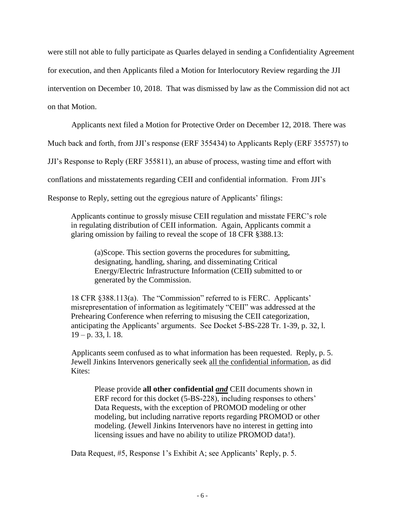were still not able to fully participate as Quarles delayed in sending a Confidentiality Agreement for execution, and then Applicants filed a Motion for Interlocutory Review regarding the JJI intervention on December 10, 2018. That was dismissed by law as the Commission did not act on that Motion.

Applicants next filed a Motion for Protective Order on December 12, 2018. There was

Much back and forth, from JJI's response (ERF 355434) to Applicants Reply (ERF 355757) to

JJI's Response to Reply (ERF 355811), an abuse of process, wasting time and effort with

conflations and misstatements regarding CEII and confidential information. From JJI's

Response to Reply, setting out the egregious nature of Applicants' filings:

Applicants continue to grossly misuse CEII regulation and misstate FERC's role in regulating distribution of CEII information. Again, Applicants commit a glaring omission by failing to reveal the scope of 18 CFR §388.13:

(a)Scope. This section governs the procedures for submitting, designating, handling, sharing, and disseminating Critical Energy/Electric Infrastructure Information (CEII) submitted to or generated by the Commission.

18 CFR §388.113(a). The "Commission" referred to is FERC. Applicants' misrepresentation of information as legitimately "CEII" was addressed at the Prehearing Conference when referring to misusing the CEII categorization, anticipating the Applicants' arguments. See Docket 5-BS-228 Tr. 1-39, p. 32, l.  $19 - p. 33, 1. 18.$ 

Applicants seem confused as to what information has been requested. Reply, p. 5. Jewell Jinkins Intervenors generically seek all the confidential information, as did Kites:

Please provide **all other confidential** *and* CEII documents shown in ERF record for this docket (5-BS-228), including responses to others' Data Requests, with the exception of PROMOD modeling or other modeling, but including narrative reports regarding PROMOD or other modeling. (Jewell Jinkins Intervenors have no interest in getting into licensing issues and have no ability to utilize PROMOD data!).

Data Request, #5, Response 1's Exhibit A; see Applicants' Reply, p. 5.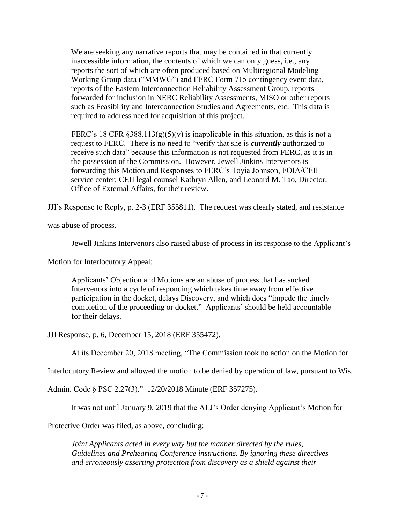We are seeking any narrative reports that may be contained in that currently inaccessible information, the contents of which we can only guess, i.e., any reports the sort of which are often produced based on Multiregional Modeling Working Group data ("MMWG") and FERC Form 715 contingency event data, reports of the Eastern Interconnection Reliability Assessment Group, reports forwarded for inclusion in NERC Reliability Assessments, MISO or other reports such as Feasibility and Interconnection Studies and Agreements, etc. This data is required to address need for acquisition of this project.

FERC's 18 CFR  $\S 388.113(g)(5)(v)$  is inapplicable in this situation, as this is not a request to FERC. There is no need to "verify that she is *currently* authorized to receive such data" because this information is not requested from FERC, as it is in the possession of the Commission. However, Jewell Jinkins Intervenors is forwarding this Motion and Responses to FERC's Toyia Johnson, FOIA/CEII service center; CEII legal counsel Kathryn Allen, and Leonard M. Tao, Director, Office of External Affairs, for their review.

JJI's Response to Reply, p. 2-3 (ERF 355811). The request was clearly stated, and resistance

was abuse of process.

Jewell Jinkins Intervenors also raised abuse of process in its response to the Applicant's

Motion for Interlocutory Appeal:

Applicants' Objection and Motions are an abuse of process that has sucked Intervenors into a cycle of responding which takes time away from effective participation in the docket, delays Discovery, and which does "impede the timely completion of the proceeding or docket." Applicants' should be held accountable for their delays.

JJI Response, p. 6, December 15, 2018 (ERF 355472).

At its December 20, 2018 meeting, "The Commission took no action on the Motion for

Interlocutory Review and allowed the motion to be denied by operation of law, pursuant to Wis.

Admin. Code § PSC 2.27(3)." 12/20/2018 Minute (ERF 357275).

It was not until January 9, 2019 that the ALJ's Order denying Applicant's Motion for

Protective Order was filed, as above, concluding:

*Joint Applicants acted in every way but the manner directed by the rules, Guidelines and Prehearing Conference instructions. By ignoring these directives and erroneously asserting protection from discovery as a shield against their*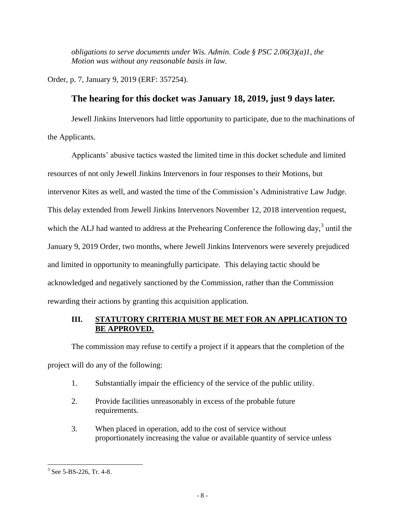*obligations to serve documents under Wis. Admin. Code § PSC 2.06(3)(a)1, the Motion was without any reasonable basis in law.*

Order, p. 7, January 9, 2019 (ERF: 357254).

# **The hearing for this docket was January 18, 2019, just 9 days later.**

Jewell Jinkins Intervenors had little opportunity to participate, due to the machinations of the Applicants.

Applicants' abusive tactics wasted the limited time in this docket schedule and limited resources of not only Jewell Jinkins Intervenors in four responses to their Motions, but intervenor Kites as well, and wasted the time of the Commission's Administrative Law Judge. This delay extended from Jewell Jinkins Intervenors November 12, 2018 intervention request, which the ALJ had wanted to address at the Prehearing Conference the following day, $3$  until the January 9, 2019 Order, two months, where Jewell Jinkins Intervenors were severely prejudiced and limited in opportunity to meaningfully participate. This delaying tactic should be acknowledged and negatively sanctioned by the Commission, rather than the Commission rewarding their actions by granting this acquisition application.

## **III. STATUTORY CRITERIA MUST BE MET FOR AN APPLICATION TO BE APPROVED.**

The commission may refuse to certify a project if it appears that the completion of the project will do any of the following:

- 1. Substantially impair the efficiency of the service of the public utility.
- 2. Provide facilities unreasonably in excess of the probable future requirements.
- 3. When placed in operation, add to the cost of service without proportionately increasing the value or available quantity of service unless

l  $3$  See 5-BS-226, Tr. 4-8.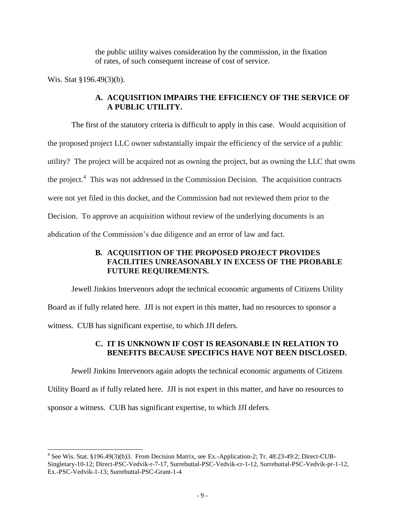the public utility waives consideration by the commission, in the fixation of rates, of such consequent increase of cost of service.

Wis. Stat §196.49(3)(b).

l

## **A. ACQUISITION IMPAIRS THE EFFICIENCY OF THE SERVICE OF A PUBLIC UTILITY.**

The first of the statutory criteria is difficult to apply in this case. Would acquisition of the proposed project LLC owner substantially impair the efficiency of the service of a public utility? The project will be acquired not as owning the project, but as owning the LLC that owns the project.<sup>4</sup> This was not addressed in the Commission Decision. The acquisition contracts were not yet filed in this docket, and the Commission had not reviewed them prior to the Decision. To approve an acquisition without review of the underlying documents is an abdication of the Commission's due diligence and an error of law and fact.

## **B. ACQUISITION OF THE PROPOSED PROJECT PROVIDES FACILITIES UNREASONABLY IN EXCESS OF THE PROBABLE FUTURE REQUIREMENTS.**

Jewell Jinkins Intervenors adopt the technical economic arguments of Citizens Utility Board as if fully related here. JJI is not expert in this matter, had no resources to sponsor a witness. CUB has significant expertise, to which JJI defers.

## **C. IT IS UNKNOWN IF COST IS REASONABLE IN RELATION TO BENEFITS BECAUSE SPECIFICS HAVE NOT BEEN DISCLOSED.**

Jewell Jinkins Intervenors again adopts the technical economic arguments of Citizens Utility Board as if fully related here. JJI is not expert in this matter, and have no resources to sponsor a witness. CUB has significant expertise, to which JJI defers.

<sup>&</sup>lt;sup>4</sup> See Wis. Stat. §196.49(3)(b)3. From Decision Matrix, see Ex.-Application-2; Tr. 48:23-49:2; Direct-CUB-Singletary-10-12; Direct-PSC-Vedvik-r-7-17, Surrebuttal-PSC-Vedvik-cr-1-12, Surrebuttal-PSC-Vedvik-pr-1-12, Ex.-PSC-Vedvik-1-13; Surrebuttal-PSC-Grant-1-4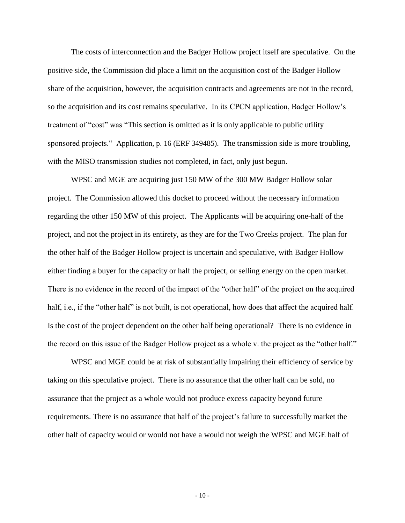The costs of interconnection and the Badger Hollow project itself are speculative. On the positive side, the Commission did place a limit on the acquisition cost of the Badger Hollow share of the acquisition, however, the acquisition contracts and agreements are not in the record, so the acquisition and its cost remains speculative. In its CPCN application, Badger Hollow's treatment of "cost" was "This section is omitted as it is only applicable to public utility sponsored projects." Application, p. 16 (ERF 349485). The transmission side is more troubling, with the MISO transmission studies not completed, in fact, only just begun.

WPSC and MGE are acquiring just 150 MW of the 300 MW Badger Hollow solar project. The Commission allowed this docket to proceed without the necessary information regarding the other 150 MW of this project. The Applicants will be acquiring one-half of the project, and not the project in its entirety, as they are for the Two Creeks project. The plan for the other half of the Badger Hollow project is uncertain and speculative, with Badger Hollow either finding a buyer for the capacity or half the project, or selling energy on the open market. There is no evidence in the record of the impact of the "other half" of the project on the acquired half, i.e., if the "other half" is not built, is not operational, how does that affect the acquired half. Is the cost of the project dependent on the other half being operational? There is no evidence in the record on this issue of the Badger Hollow project as a whole v. the project as the "other half."

WPSC and MGE could be at risk of substantially impairing their efficiency of service by taking on this speculative project. There is no assurance that the other half can be sold, no assurance that the project as a whole would not produce excess capacity beyond future requirements. There is no assurance that half of the project's failure to successfully market the other half of capacity would or would not have a would not weigh the WPSC and MGE half of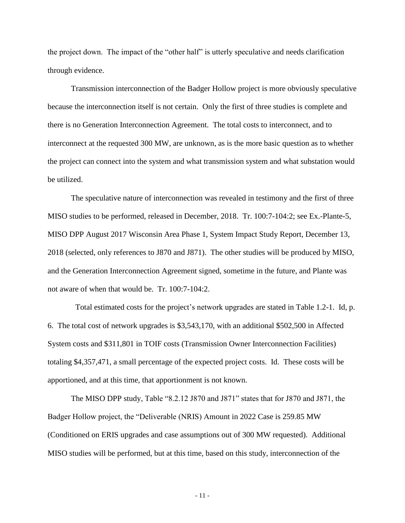the project down. The impact of the "other half" is utterly speculative and needs clarification through evidence.

Transmission interconnection of the Badger Hollow project is more obviously speculative because the interconnection itself is not certain. Only the first of three studies is complete and there is no Generation Interconnection Agreement. The total costs to interconnect, and to interconnect at the requested 300 MW, are unknown, as is the more basic question as to whether the project can connect into the system and what transmission system and what substation would be utilized.

The speculative nature of interconnection was revealed in testimony and the first of three MISO studies to be performed, released in December, 2018. Tr. 100:7-104:2; see Ex.-Plante-5, MISO DPP August 2017 Wisconsin Area Phase 1, System Impact Study Report, December 13, 2018 (selected, only references to J870 and J871). The other studies will be produced by MISO, and the Generation Interconnection Agreement signed, sometime in the future, and Plante was not aware of when that would be. Tr. 100:7-104:2.

 Total estimated costs for the project's network upgrades are stated in Table 1.2-1. Id, p. 6. The total cost of network upgrades is \$3,543,170, with an additional \$502,500 in Affected System costs and \$311,801 in TOIF costs (Transmission Owner Interconnection Facilities) totaling \$4,357,471, a small percentage of the expected project costs. Id. These costs will be apportioned, and at this time, that apportionment is not known.

The MISO DPP study, Table "8.2.12 J870 and J871" states that for J870 and J871, the Badger Hollow project, the "Deliverable (NRIS) Amount in 2022 Case is 259.85 MW (Conditioned on ERIS upgrades and case assumptions out of 300 MW requested). Additional MISO studies will be performed, but at this time, based on this study, interconnection of the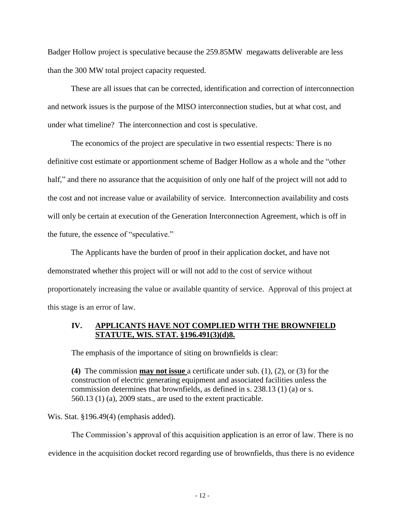Badger Hollow project is speculative because the 259.85MW megawatts deliverable are less than the 300 MW total project capacity requested.

These are all issues that can be corrected, identification and correction of interconnection and network issues is the purpose of the MISO interconnection studies, but at what cost, and under what timeline? The interconnection and cost is speculative.

The economics of the project are speculative in two essential respects: There is no definitive cost estimate or apportionment scheme of Badger Hollow as a whole and the "other half," and there no assurance that the acquisition of only one half of the project will not add to the cost and not increase value or availability of service. Interconnection availability and costs will only be certain at execution of the Generation Interconnection Agreement, which is off in the future, the essence of "speculative."

The Applicants have the burden of proof in their application docket, and have not demonstrated whether this project will or will not add to the cost of service without proportionately increasing the value or available quantity of service. Approval of this project at this stage is an error of law.

### **IV. APPLICANTS HAVE NOT COMPLIED WITH THE BROWNFIELD STATUTE, WIS. STAT. §196.491(3)(d)8.**

The emphasis of the importance of siting on brownfields is clear:

**(4)** The commission **may not issue** a certificate under sub. (1), (2), or (3) for the construction of electric generating equipment and associated facilities unless the commission determines that brownfields, as defined in s. 238.13 (1) (a) or s. 560.13 (1) (a), 2009 stats., are used to the extent practicable.

Wis. Stat. §196.49(4) (emphasis added).

The Commission's approval of this acquisition application is an error of law. There is no evidence in the acquisition docket record regarding use of brownfields, thus there is no evidence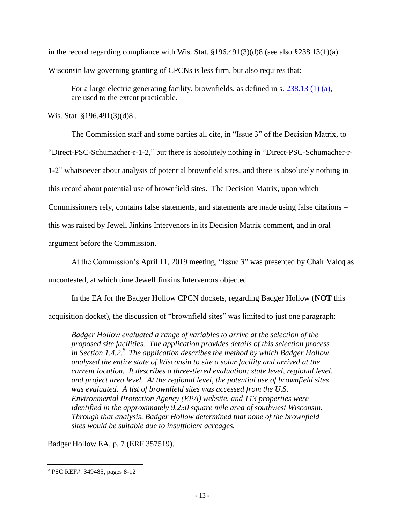in the record regarding compliance with Wis. Stat. §196.491(3)(d)8 (see also §238.13(1)(a). Wisconsin law governing granting of CPCNs is less firm, but also requires that:

For a large electric generating facility, brownfields, as defined in s. [238.13 \(1\) \(a\),](https://docs.legis.wisconsin.gov/document/statutes/238.13(1)(a)) are used to the extent practicable.

Wis. Stat. §196.491(3)(d)8.

The Commission staff and some parties all cite, in "Issue 3" of the Decision Matrix, to "Direct-PSC-Schumacher-r-1-2," but there is absolutely nothing in "Direct-PSC-Schumacher-r-1-2" whatsoever about analysis of potential brownfield sites, and there is absolutely nothing in this record about potential use of brownfield sites. The Decision Matrix, upon which Commissioners rely, contains false statements, and statements are made using false citations – this was raised by Jewell Jinkins Intervenors in its Decision Matrix comment, and in oral argument before the Commission.

At the Commission's April 11, 2019 meeting, "Issue 3" was presented by Chair Valcq as uncontested, at which time Jewell Jinkins Intervenors objected.

In the EA for the Badger Hollow CPCN dockets, regarding Badger Hollow (**NOT** this

acquisition docket), the discussion of "brownfield sites" was limited to just one paragraph:

*Badger Hollow evaluated a range of variables to arrive at the selection of the proposed site facilities. The application provides details of this selection process in Section 1.4.2.<sup>5</sup> The application describes the method by which Badger Hollow analyzed the entire state of Wisconsin to site a solar facility and arrived at the current location. It describes a three-tiered evaluation; state level, regional level, and project area level. At the regional level, the potential use of brownfield sites was evaluated. A list of brownfield sites was accessed from the U.S. Environmental Protection Agency (EPA) website, and 113 properties were identified in the approximately 9,250 square mile area of southwest Wisconsin. Through that analysis, Badger Hollow determined that none of the brownfield sites would be suitable due to insufficient acreages.*

Badger Hollow EA, p. 7 (ERF 357519).

l <sup>5</sup> [PSC REF#: 349485,](http://apps.psc.wi.gov/pages/viewdoc.htm?docid=%20349485) pages 8-12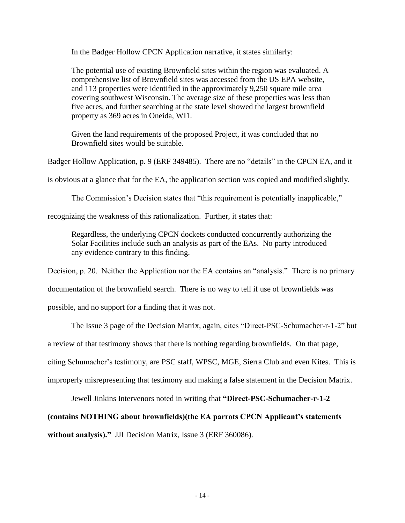In the Badger Hollow CPCN Application narrative, it states similarly:

The potential use of existing Brownfield sites within the region was evaluated. A comprehensive list of Brownfield sites was accessed from the US EPA website, and 113 properties were identified in the approximately 9,250 square mile area covering southwest Wisconsin. The average size of these properties was less than five acres, and further searching at the state level showed the largest brownfield property as 369 acres in Oneida, WI1.

Given the land requirements of the proposed Project, it was concluded that no Brownfield sites would be suitable.

Badger Hollow Application, p. 9 (ERF 349485). There are no "details" in the CPCN EA, and it

is obvious at a glance that for the EA, the application section was copied and modified slightly.

The Commission's Decision states that "this requirement is potentially inapplicable,"

recognizing the weakness of this rationalization. Further, it states that:

Regardless, the underlying CPCN dockets conducted concurrently authorizing the Solar Facilities include such an analysis as part of the EAs. No party introduced any evidence contrary to this finding.

Decision, p. 20. Neither the Application nor the EA contains an "analysis." There is no primary

documentation of the brownfield search. There is no way to tell if use of brownfields was

possible, and no support for a finding that it was not.

The Issue 3 page of the Decision Matrix, again, cites "Direct-PSC-Schumacher-r-1-2" but

a review of that testimony shows that there is nothing regarding brownfields. On that page,

citing Schumacher's testimony, are PSC staff, WPSC, MGE, Sierra Club and even Kites. This is

improperly misrepresenting that testimony and making a false statement in the Decision Matrix.

Jewell Jinkins Intervenors noted in writing that **"Direct-PSC-Schumacher-r-1-2** 

### **(contains NOTHING about brownfields)(the EA parrots CPCN Applicant's statements**

without analysis)." JJI Decision Matrix, Issue 3 (ERF 360086).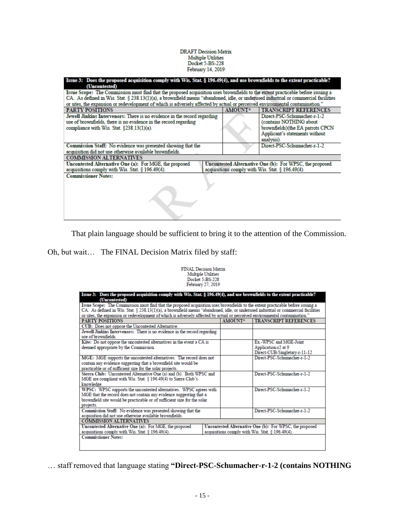### DRAFT Decision Matrix Multiple Utilities<br>Docket 5-BS-228 February 14, 2019

| Issue 3: Does the proposed acquisition comply with Wis. Stat. § 196.49(4), and use brownfields to the extent practicable?          |                                                  |         |                                                         |  |  |  |
|------------------------------------------------------------------------------------------------------------------------------------|--------------------------------------------------|---------|---------------------------------------------------------|--|--|--|
| (Uncontested)                                                                                                                      |                                                  |         |                                                         |  |  |  |
| Issue Scope: The Commission must find that the proposed acquisition uses brownfields to the extent practicable before issuing a    |                                                  |         |                                                         |  |  |  |
| CA. As defined in Wis. Stat. § 238.13(1)(a), a brownfield means "abandoned, idle, or underused industrial or commercial facilities |                                                  |         |                                                         |  |  |  |
| or sites, the expansion or redevelopment of which is adversely affected by actual or perceived environmental contamination."       |                                                  |         |                                                         |  |  |  |
| <b>PARTY POSITIONS</b>                                                                                                             |                                                  | AMOUNT* | <b>TRANSCRIPT REFERENCES</b>                            |  |  |  |
| Jewell Jinkins Intervenors: There is no evidence in the record regarding                                                           |                                                  |         | Direct-PSC-Schumacher-r-1-2                             |  |  |  |
| use of brownfields, there is no evidence in the record regarding                                                                   |                                                  |         | (contains NOTHING about                                 |  |  |  |
| compliance with Wis. Stat. $§238.13(1)(a)$ .                                                                                       |                                                  |         | brownfields)(the EA parrots CPCN                        |  |  |  |
|                                                                                                                                    |                                                  |         | Applicant's statements without                          |  |  |  |
|                                                                                                                                    |                                                  |         | analysis).                                              |  |  |  |
| Commission Staff: No evidence was presented showing that the                                                                       |                                                  |         | Direct-PSC-Schumacher-r-1-2                             |  |  |  |
| acquisition did not use otherwise available brownfields.                                                                           |                                                  |         |                                                         |  |  |  |
| <b>COMMISSION ALTERNATIVES</b>                                                                                                     |                                                  |         |                                                         |  |  |  |
| Uncontested Alternative One (a): For MGE, the proposed                                                                             |                                                  |         | Uncontested Alternative One (b): For WPSC, the proposed |  |  |  |
| acquisitions comply with Wis. Stat. $§$ 196.49(4).                                                                                 | acquisitions comply with Wis. Stat. § 196.49(4). |         |                                                         |  |  |  |
| <b>Commissioner Notes:</b>                                                                                                         |                                                  |         |                                                         |  |  |  |
|                                                                                                                                    |                                                  |         |                                                         |  |  |  |
|                                                                                                                                    |                                                  |         |                                                         |  |  |  |
|                                                                                                                                    |                                                  |         |                                                         |  |  |  |
|                                                                                                                                    |                                                  |         |                                                         |  |  |  |
|                                                                                                                                    |                                                  |         |                                                         |  |  |  |
|                                                                                                                                    |                                                  |         |                                                         |  |  |  |
|                                                                                                                                    |                                                  |         |                                                         |  |  |  |

That plain language should be sufficient to bring it to the attention of the Commission.

Oh, but wait… The FINAL Decision Matrix filed by staff:

FINAL Decision Matrix<br>Multiple Utilities<br>Docket 5-BS-228<br>February 27, 2019

| Issue 3: Does the proposed acquisition comply with Wis. Stat. § 196.49(4), and use brownfields to the extent practicable?<br>(Uncontested) |                                                         |                                                  |                               |  |  |
|--------------------------------------------------------------------------------------------------------------------------------------------|---------------------------------------------------------|--------------------------------------------------|-------------------------------|--|--|
| Issue Scope: The Commission must find that the proposed acquisition uses brownfields to the extent practicable before issuing a            |                                                         |                                                  |                               |  |  |
| CA. As defined in Wis. Stat. § 238.13(1)(a), a brownfield means "abandoned, idle, or underused industrial or commercial facilities         |                                                         |                                                  |                               |  |  |
| or sites, the expansion or redevelopment of which is adversely affected by actual or perceived environmental contamination."               |                                                         |                                                  |                               |  |  |
| <b>PARTY POSITIONS</b>                                                                                                                     |                                                         | <b>AMOUNT*</b>                                   | <b>TRANSCRIPT REFERENCES</b>  |  |  |
| CUB: Does not oppose the Uncontested Alternative.                                                                                          |                                                         |                                                  |                               |  |  |
| Jewell Jinkins Intervenors: There is no evidence in the record regarding                                                                   |                                                         |                                                  |                               |  |  |
| use of brownfields                                                                                                                         |                                                         |                                                  |                               |  |  |
| Kite: Do not oppose the uncontested alternatives in the event a CA is                                                                      |                                                         |                                                  | Ex-WPSC and MGE-Joint         |  |  |
| deemed appropriate by the Commission.                                                                                                      |                                                         |                                                  | Application-r2 at 9           |  |  |
|                                                                                                                                            |                                                         |                                                  | Direct-CUB-Singletary-r-11-12 |  |  |
| MGE: MGE supports the uncontested alternatives. The record does not                                                                        |                                                         |                                                  | Direct PSC-Schumacher-r-1-2   |  |  |
| contain any evidence suggesting that a brownfield site would be                                                                            |                                                         |                                                  |                               |  |  |
| practicable or of sufficient size for the solar projects.                                                                                  |                                                         |                                                  |                               |  |  |
| Sierra Club: Uncontested Alternative One (a) and (b). Both WPSC and                                                                        |                                                         |                                                  | Direct-PSC-Schumacher-r-1-2   |  |  |
| MGE are compliant with Wis. Stat. § 196.49(4) to Sierra Club's                                                                             |                                                         |                                                  |                               |  |  |
| knowledge                                                                                                                                  |                                                         |                                                  |                               |  |  |
| WPSC: WPSC supports the uncontested alternatives. WPSC agrees with                                                                         |                                                         |                                                  | Direct-PSC-Schumacher-r-1-2   |  |  |
| MGE that the record does not contain any evidence suggesting that a                                                                        |                                                         |                                                  |                               |  |  |
| brownfield site would be practicable or of sufficient size for the solar                                                                   |                                                         |                                                  |                               |  |  |
| projects.                                                                                                                                  |                                                         |                                                  |                               |  |  |
| Commission Staff: No evidence was presented showing that the                                                                               |                                                         |                                                  | Direct-PSC-Schumacher-r-1-2   |  |  |
| acquisition did not use otherwise available brownfields.                                                                                   |                                                         |                                                  |                               |  |  |
| <b>COMMISSION ALTERNATIVES</b>                                                                                                             |                                                         |                                                  |                               |  |  |
| Uncontested Alternative One (a): For MGE, the proposed                                                                                     | Uncontested Alternative One (b): For WPSC, the proposed |                                                  |                               |  |  |
| acquisitions comply with Wis. Stat. § 196.49(4).                                                                                           |                                                         | acquisitions comply with Wis. Stat. § 196.49(4). |                               |  |  |
| <b>Commissioner Notes:</b>                                                                                                                 |                                                         |                                                  |                               |  |  |
|                                                                                                                                            |                                                         |                                                  |                               |  |  |
|                                                                                                                                            |                                                         |                                                  |                               |  |  |

… staff removed that language stating **"Direct-PSC-Schumacher-r-1-2 (contains NOTHING**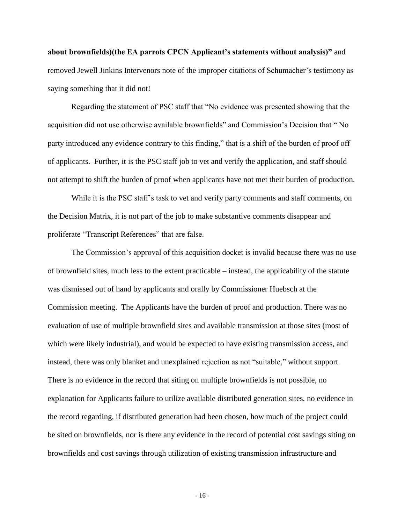**about brownfields)(the EA parrots CPCN Applicant's statements without analysis)"** and removed Jewell Jinkins Intervenors note of the improper citations of Schumacher's testimony as saying something that it did not!

Regarding the statement of PSC staff that "No evidence was presented showing that the acquisition did not use otherwise available brownfields" and Commission's Decision that " No party introduced any evidence contrary to this finding," that is a shift of the burden of proof off of applicants. Further, it is the PSC staff job to vet and verify the application, and staff should not attempt to shift the burden of proof when applicants have not met their burden of production.

While it is the PSC staff's task to vet and verify party comments and staff comments, on the Decision Matrix, it is not part of the job to make substantive comments disappear and proliferate "Transcript References" that are false.

The Commission's approval of this acquisition docket is invalid because there was no use of brownfield sites, much less to the extent practicable – instead, the applicability of the statute was dismissed out of hand by applicants and orally by Commissioner Huebsch at the Commission meeting. The Applicants have the burden of proof and production. There was no evaluation of use of multiple brownfield sites and available transmission at those sites (most of which were likely industrial), and would be expected to have existing transmission access, and instead, there was only blanket and unexplained rejection as not "suitable," without support. There is no evidence in the record that siting on multiple brownfields is not possible, no explanation for Applicants failure to utilize available distributed generation sites, no evidence in the record regarding, if distributed generation had been chosen, how much of the project could be sited on brownfields, nor is there any evidence in the record of potential cost savings siting on brownfields and cost savings through utilization of existing transmission infrastructure and